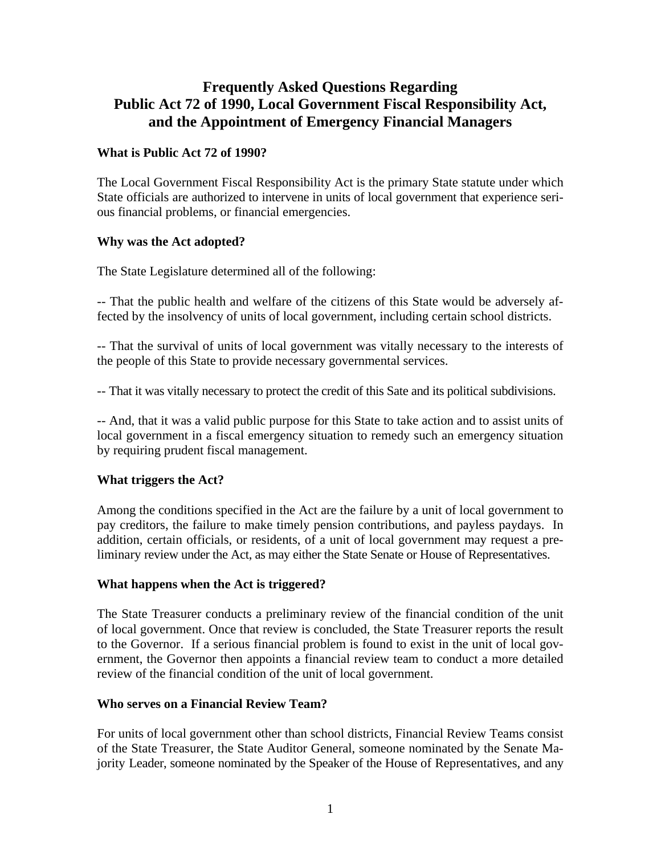# **Frequently Asked Questions Regarding Public Act 72 of 1990, Local Government Fiscal Responsibility Act, and the Appointment of Emergency Financial Managers**

#### **What is Public Act 72 of 1990?**

The Local Government Fiscal Responsibility Act is the primary State statute under which State officials are authorized to intervene in units of local government that experience serious financial problems, or financial emergencies.

#### **Why was the Act adopted?**

The State Legislature determined all of the following:

-- That the public health and welfare of the citizens of this State would be adversely affected by the insolvency of units of local government, including certain school districts.

-- That the survival of units of local government was vitally necessary to the interests of the people of this State to provide necessary governmental services.

-- That it was vitally necessary to protect the credit of this Sate and its political subdivisions.

-- And, that it was a valid public purpose for this State to take action and to assist units of local government in a fiscal emergency situation to remedy such an emergency situation by requiring prudent fiscal management.

## **What triggers the Act?**

Among the conditions specified in the Act are the failure by a unit of local government to pay creditors, the failure to make timely pension contributions, and payless paydays. In addition, certain officials, or residents, of a unit of local government may request a preliminary review under the Act, as may either the State Senate or House of Representatives.

#### **What happens when the Act is triggered?**

The State Treasurer conducts a preliminary review of the financial condition of the unit of local government. Once that review is concluded, the State Treasurer reports the result to the Governor. If a serious financial problem is found to exist in the unit of local government, the Governor then appoints a financial review team to conduct a more detailed review of the financial condition of the unit of local government.

#### **Who serves on a Financial Review Team?**

For units of local government other than school districts, Financial Review Teams consist of the State Treasurer, the State Auditor General, someone nominated by the Senate Majority Leader, someone nominated by the Speaker of the House of Representatives, and any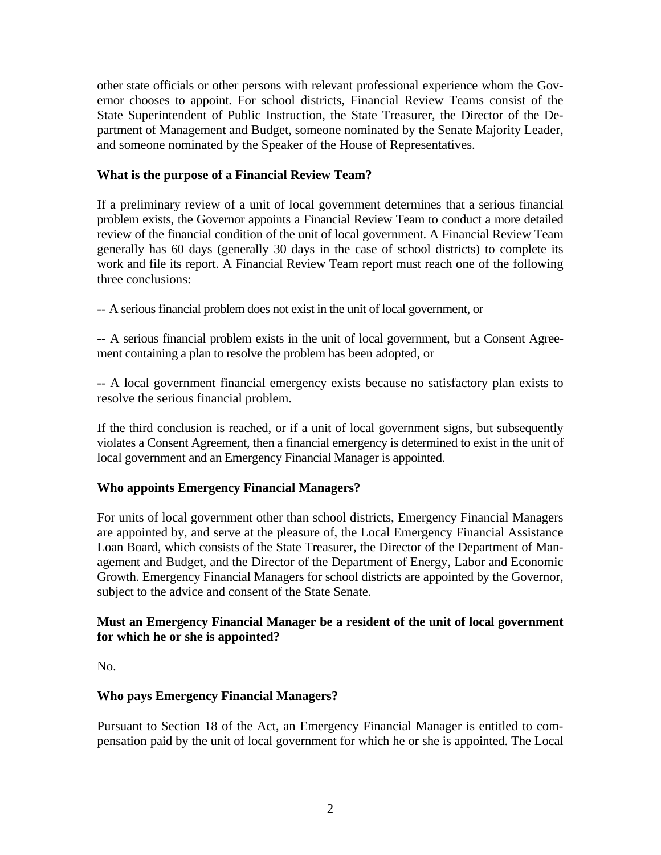other state officials or other persons with relevant professional experience whom the Governor chooses to appoint. For school districts, Financial Review Teams consist of the State Superintendent of Public Instruction, the State Treasurer, the Director of the Department of Management and Budget, someone nominated by the Senate Majority Leader, and someone nominated by the Speaker of the House of Representatives.

## **What is the purpose of a Financial Review Team?**

If a preliminary review of a unit of local government determines that a serious financial problem exists, the Governor appoints a Financial Review Team to conduct a more detailed review of the financial condition of the unit of local government. A Financial Review Team generally has 60 days (generally 30 days in the case of school districts) to complete its work and file its report. A Financial Review Team report must reach one of the following three conclusions:

-- A serious financial problem does not exist in the unit of local government, or

-- A serious financial problem exists in the unit of local government, but a Consent Agreement containing a plan to resolve the problem has been adopted, or

-- A local government financial emergency exists because no satisfactory plan exists to resolve the serious financial problem.

If the third conclusion is reached, or if a unit of local government signs, but subsequently violates a Consent Agreement, then a financial emergency is determined to exist in the unit of local government and an Emergency Financial Manager is appointed.

## **Who appoints Emergency Financial Managers?**

For units of local government other than school districts, Emergency Financial Managers are appointed by, and serve at the pleasure of, the Local Emergency Financial Assistance Loan Board, which consists of the State Treasurer, the Director of the Department of Management and Budget, and the Director of the Department of Energy, Labor and Economic Growth. Emergency Financial Managers for school districts are appointed by the Governor, subject to the advice and consent of the State Senate.

#### **Must an Emergency Financial Manager be a resident of the unit of local government for which he or she is appointed?**

No.

## **Who pays Emergency Financial Managers?**

Pursuant to Section 18 of the Act, an Emergency Financial Manager is entitled to compensation paid by the unit of local government for which he or she is appointed. The Local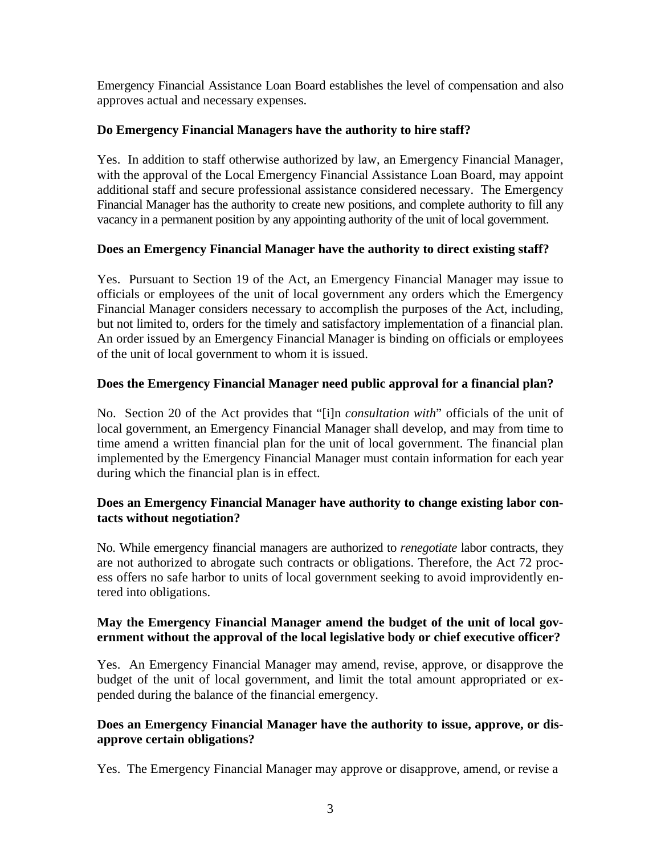Emergency Financial Assistance Loan Board establishes the level of compensation and also approves actual and necessary expenses.

## **Do Emergency Financial Managers have the authority to hire staff?**

Yes. In addition to staff otherwise authorized by law, an Emergency Financial Manager, with the approval of the Local Emergency Financial Assistance Loan Board, may appoint additional staff and secure professional assistance considered necessary. The Emergency Financial Manager has the authority to create new positions, and complete authority to fill any vacancy in a permanent position by any appointing authority of the unit of local government.

#### **Does an Emergency Financial Manager have the authority to direct existing staff?**

Yes. Pursuant to Section 19 of the Act, an Emergency Financial Manager may issue to officials or employees of the unit of local government any orders which the Emergency Financial Manager considers necessary to accomplish the purposes of the Act, including, but not limited to, orders for the timely and satisfactory implementation of a financial plan. An order issued by an Emergency Financial Manager is binding on officials or employees of the unit of local government to whom it is issued.

## **Does the Emergency Financial Manager need public approval for a financial plan?**

No. Section 20 of the Act provides that "[i]n *consultation with*" officials of the unit of local government, an Emergency Financial Manager shall develop, and may from time to time amend a written financial plan for the unit of local government. The financial plan implemented by the Emergency Financial Manager must contain information for each year during which the financial plan is in effect.

#### **Does an Emergency Financial Manager have authority to change existing labor contacts without negotiation?**

No. While emergency financial managers are authorized to *renegotiate* labor contracts, they are not authorized to abrogate such contracts or obligations. Therefore, the Act 72 process offers no safe harbor to units of local government seeking to avoid improvidently entered into obligations.

#### **May the Emergency Financial Manager amend the budget of the unit of local government without the approval of the local legislative body or chief executive officer?**

Yes. An Emergency Financial Manager may amend, revise, approve, or disapprove the budget of the unit of local government, and limit the total amount appropriated or expended during the balance of the financial emergency.

## **Does an Emergency Financial Manager have the authority to issue, approve, or disapprove certain obligations?**

Yes. The Emergency Financial Manager may approve or disapprove, amend, or revise a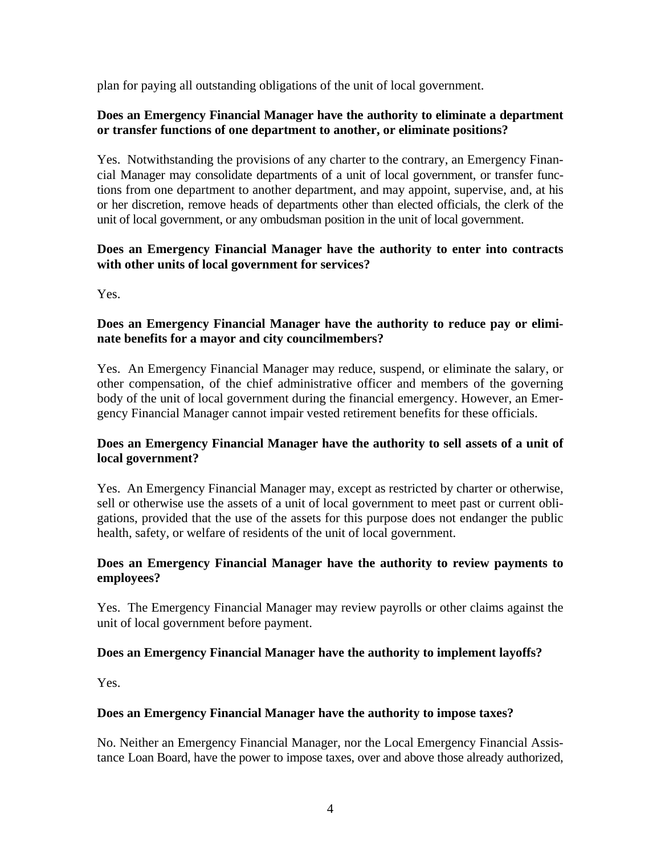plan for paying all outstanding obligations of the unit of local government.

## **Does an Emergency Financial Manager have the authority to eliminate a department or transfer functions of one department to another, or eliminate positions?**

Yes. Notwithstanding the provisions of any charter to the contrary, an Emergency Financial Manager may consolidate departments of a unit of local government, or transfer functions from one department to another department, and may appoint, supervise, and, at his or her discretion, remove heads of departments other than elected officials, the clerk of the unit of local government, or any ombudsman position in the unit of local government.

## **Does an Emergency Financial Manager have the authority to enter into contracts with other units of local government for services?**

Yes.

## **Does an Emergency Financial Manager have the authority to reduce pay or eliminate benefits for a mayor and city councilmembers?**

Yes. An Emergency Financial Manager may reduce, suspend, or eliminate the salary, or other compensation, of the chief administrative officer and members of the governing body of the unit of local government during the financial emergency. However, an Emergency Financial Manager cannot impair vested retirement benefits for these officials.

## **Does an Emergency Financial Manager have the authority to sell assets of a unit of local government?**

Yes. An Emergency Financial Manager may, except as restricted by charter or otherwise, sell or otherwise use the assets of a unit of local government to meet past or current obligations, provided that the use of the assets for this purpose does not endanger the public health, safety, or welfare of residents of the unit of local government.

## **Does an Emergency Financial Manager have the authority to review payments to employees?**

Yes. The Emergency Financial Manager may review payrolls or other claims against the unit of local government before payment.

## **Does an Emergency Financial Manager have the authority to implement layoffs?**

Yes.

## **Does an Emergency Financial Manager have the authority to impose taxes?**

No. Neither an Emergency Financial Manager, nor the Local Emergency Financial Assistance Loan Board, have the power to impose taxes, over and above those already authorized,